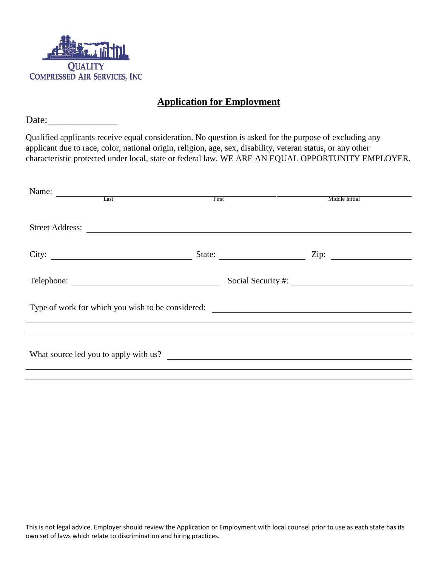

## **Application for Employment**

Date:

Qualified applicants receive equal consideration. No question is asked for the purpose of excluding any applicant due to race, color, national origin, religion, age, sex, disability, veteran status, or any other characteristic protected under local, state or federal law. WE ARE AN EQUAL OPPORTUNITY EMPLOYER.

| Name:<br>$\begin{tabular}{c} \multicolumn{2}{c }{\textbf{Last}}\\ \hline \end{tabular}$ |                                                                                                                      |                      |  |
|-----------------------------------------------------------------------------------------|----------------------------------------------------------------------------------------------------------------------|----------------------|--|
|                                                                                         | First                                                                                                                | Middle Initial       |  |
|                                                                                         |                                                                                                                      |                      |  |
| <b>Street Address:</b>                                                                  | <u> Alexandria de la contrada de la contrada de la contrada de la contrada de la contrada de la contrada de la c</u> |                      |  |
|                                                                                         |                                                                                                                      |                      |  |
|                                                                                         | State:                                                                                                               | Zip: $\qquad \qquad$ |  |
|                                                                                         |                                                                                                                      |                      |  |
| Telephone:                                                                              |                                                                                                                      | Social Security #:   |  |
|                                                                                         |                                                                                                                      |                      |  |
|                                                                                         |                                                                                                                      |                      |  |
| Type of work for which you wish to be considered:                                       |                                                                                                                      |                      |  |
|                                                                                         |                                                                                                                      |                      |  |
|                                                                                         |                                                                                                                      |                      |  |
|                                                                                         |                                                                                                                      |                      |  |
|                                                                                         |                                                                                                                      |                      |  |
|                                                                                         |                                                                                                                      |                      |  |

This is not legal advice. Employer should review the Application or Employment with local counsel prior to use as each state has its own set of laws which relate to discrimination and hiring practices.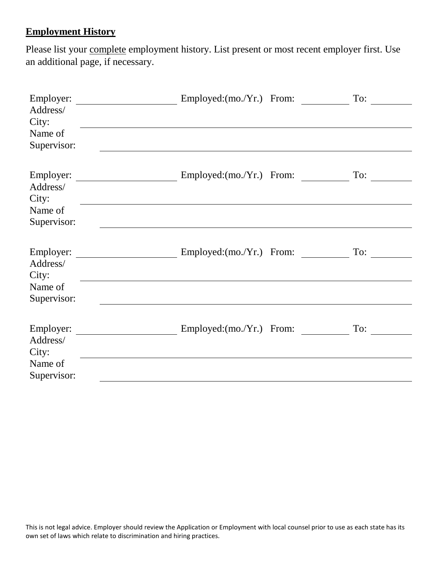## **Employment History**

Please list your complete employment history. List present or most recent employer first. Use an additional page, if necessary.

| Employer:<br>Address/<br>City:<br>Name of<br>Supervisor: | $Emploved:(mo.Yr.)$ From:  | To: |
|----------------------------------------------------------|----------------------------|-----|
| Employer:<br>Address/<br>City:<br>Name of<br>Supervisor: | $Emploved:(mo./Yr.)$ From: | To: |
| Employer:<br>Address/<br>City:<br>Name of<br>Supervisor: | $Emploved:(mo./Yr.)$ From: | To: |
| Employer:<br>Address/<br>City:<br>Name of<br>Supervisor: | $Emploved:(mo./Yr.)$ From: | To: |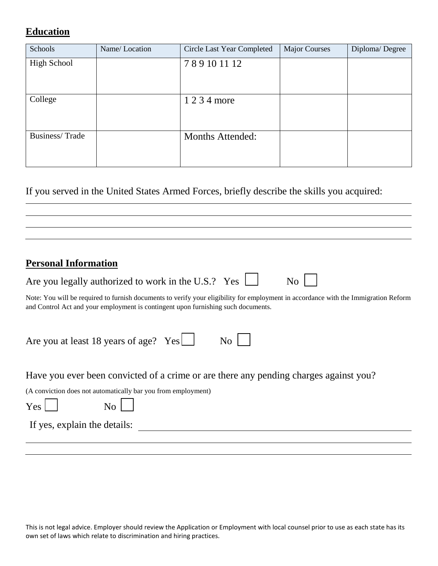## **Education**

| Schools            | Name/Location | Circle Last Year Completed | <b>Major Courses</b> | Diploma/Degree |
|--------------------|---------------|----------------------------|----------------------|----------------|
| <b>High School</b> |               | 789101112                  |                      |                |
| College            |               | 1 2 3 4 more               |                      |                |
| Business/Trade     |               | <b>Months Attended:</b>    |                      |                |

If you served in the United States Armed Forces, briefly describe the skills you acquired:

## **Personal Information**

| Are you legally authorized to work in the U.S.? Yes $\Box$ | N <sub>o</sub> |
|------------------------------------------------------------|----------------|
|------------------------------------------------------------|----------------|

Note: You will be required to furnish documents to verify your eligibility for employment in accordance with the Immigration Reform and Control Act and your employment is contingent upon furnishing such documents.

| Are you at least 18 years of age? $Yes$ | $\overline{N_{O}}$ |  |
|-----------------------------------------|--------------------|--|
|-----------------------------------------|--------------------|--|

Have you ever been convicted of a crime or are there any pending charges against you?

(A conviction does not automatically bar you from employment)

 $Yes$   $\begin{array}{ccc} \mid & \mid & \mid & N_0 \mid \mid \end{array}$ 

If yes, explain the details: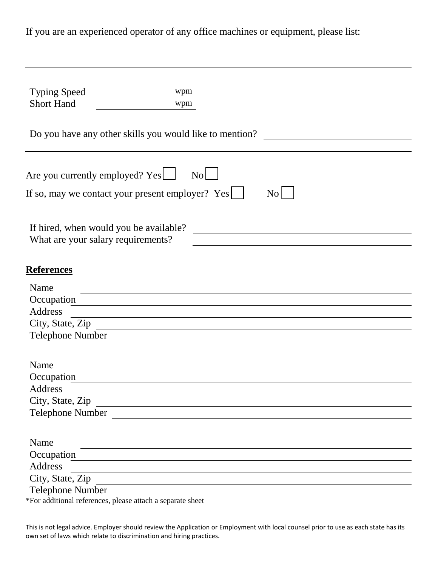| If you are an experienced operator of any office machines or equipment, please list:                                                             |
|--------------------------------------------------------------------------------------------------------------------------------------------------|
|                                                                                                                                                  |
|                                                                                                                                                  |
| <b>Typing Speed</b><br>wpm                                                                                                                       |
| wpm<br><b>Short Hand</b>                                                                                                                         |
| Do you have any other skills you would like to mention?                                                                                          |
| Are you currently employed? Yes<br>No                                                                                                            |
| If so, may we contact your present employer? Yes    <br>N <sub>0</sub>                                                                           |
| If hired, when would you be available?                                                                                                           |
| What are your salary requirements?                                                                                                               |
| <b>References</b>                                                                                                                                |
| Name                                                                                                                                             |
| Occupation                                                                                                                                       |
| <b>Address</b><br><u> 1980 - Johann Stoff, deutscher Stoff, der Stoff, der Stoff, der Stoff, der Stoff, der Stoff, der Stoff, der S</u>          |
| City, State, Zip                                                                                                                                 |
| <b>Telephone Number</b><br><u> 1989 - Johann Barn, mars ann an t-Amhainn an t-Amhainn an t-Amhainn an t-Amhainn an t-Amhainn an t-Amhainn an</u> |
| Name                                                                                                                                             |
| Occupation                                                                                                                                       |
| <b>Address</b>                                                                                                                                   |
| City, State, Zip                                                                                                                                 |
| Telephone Number                                                                                                                                 |
| Name                                                                                                                                             |
| Occupation                                                                                                                                       |
| <b>Address</b>                                                                                                                                   |
| City, State, Zip                                                                                                                                 |
| <b>Telephone Number</b>                                                                                                                          |
| *For additional references, please attach a separate sheet                                                                                       |

This is not legal advice. Employer should review the Application or Employment with local counsel prior to use as each state has its own set of laws which relate to discrimination and hiring practices.